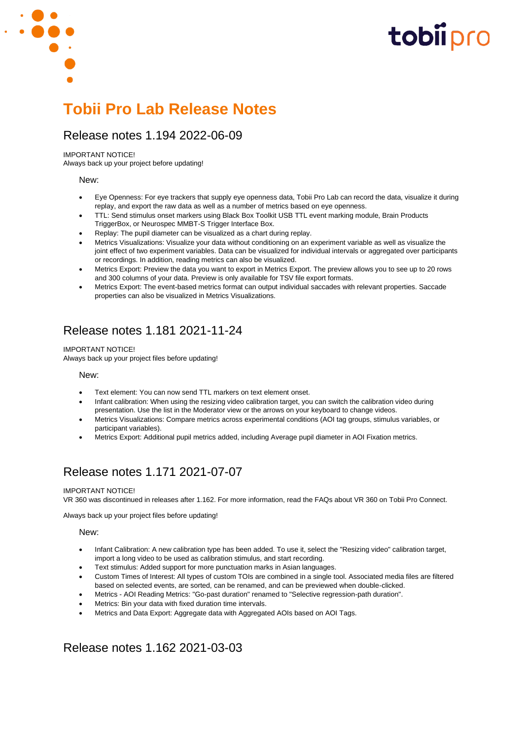

### Release notes 1.194 2022-06-09

#### IMPORTANT NOTICE!

Always back up your project before updating!

#### New:

- Eye Openness: For eye trackers that supply eye openness data, Tobii Pro Lab can record the data, visualize it during replay, and export the raw data as well as a number of metrics based on eye openness.
- TTL: Send stimulus onset markers using Black Box Toolkit USB TTL event marking module, Brain Products TriggerBox, or Neurospec MMBT-S Trigger Interface Box.
- Replay: The pupil diameter can be visualized as a chart during replay.
- Metrics Visualizations: Visualize your data without conditioning on an experiment variable as well as visualize the joint effect of two experiment variables. Data can be visualized for individual intervals or aggregated over participants or recordings. In addition, reading metrics can also be visualized.
- Metrics Export: Preview the data you want to export in Metrics Export. The preview allows you to see up to 20 rows and 300 columns of your data. Preview is only available for TSV file export formats.
- Metrics Export: The event-based metrics format can output individual saccades with relevant properties. Saccade properties can also be visualized in Metrics Visualizations.

## Release notes 1.181 2021-11-24

IMPORTANT NOTICE!

Always back up your project files before updating!

#### New:

- Text element: You can now send TTL markers on text element onset.
- Infant calibration: When using the resizing video calibration target, you can switch the calibration video during presentation. Use the list in the Moderator view or the arrows on your keyboard to change videos.
- Metrics Visualizations: Compare metrics across experimental conditions (AOI tag groups, stimulus variables, or participant variables).
- Metrics Export: Additional pupil metrics added, including Average pupil diameter in AOI Fixation metrics.

# Release notes 1.171 2021-07-07

#### IMPORTANT NOTICE!

VR 360 was discontinued in releases after 1.162. For more information, read the FAQs about VR 360 on Tobii Pro Connect.

Always back up your project files before updating!

#### New:

- Infant Calibration: A new calibration type has been added. To use it, select the "Resizing video" calibration target, import a long video to be used as calibration stimulus, and start recording.
- Text stimulus: Added support for more punctuation marks in Asian languages.
- Custom Times of Interest: All types of custom TOIs are combined in a single tool. Associated media files are filtered based on selected events, are sorted, can be renamed, and can be previewed when double-clicked.
- Metrics AOI Reading Metrics: "Go-past duration" renamed to "Selective regression-path duration".
- Metrics: Bin your data with fixed duration time intervals.
- Metrics and Data Export: Aggregate data with Aggregated AOIs based on AOI Tags.

## Release notes 1.162 2021-03-03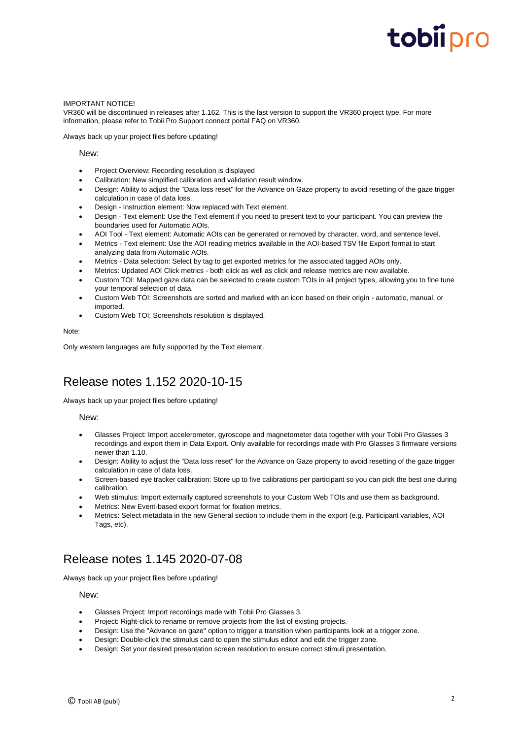#### IMPORTANT NOTICE!

VR360 will be discontinued in releases after 1.162. This is the last version to support the VR360 project type. For more information, please refer to Tobii Pro Support connect portal FAQ on VR360.

Always back up your project files before updating!

#### New:

- Project Overview: Recording resolution is displayed
- Calibration: New simplified calibration and validation result window.
- Design: Ability to adjust the "Data loss reset" for the Advance on Gaze property to avoid resetting of the gaze trigger calculation in case of data loss.
- Design Instruction element: Now replaced with Text element.
- Design Text element: Use the Text element if you need to present text to your participant. You can preview the boundaries used for Automatic AOIs.
- AOI Tool Text element: Automatic AOIs can be generated or removed by character, word, and sentence level.
- Metrics Text element: Use the AOI reading metrics available in the AOI-based TSV file Export format to start analyzing data from Automatic AOIs.
- Metrics Data selection: Select by tag to get exported metrics for the associated tagged AOIs only.
- Metrics: Updated AOI Click metrics both click as well as click and release metrics are now available.
- Custom TOI: Mapped gaze data can be selected to create custom TOIs in all project types, allowing you to fine tune your temporal selection of data.
- Custom Web TOI: Screenshots are sorted and marked with an icon based on their origin automatic, manual, or imported.
- Custom Web TOI: Screenshots resolution is displayed.

#### Note:

Only western languages are fully supported by the Text element.

# Release notes 1.152 2020-10-15

Always back up your project files before updating!

#### New:

- Glasses Project: Import accelerometer, gyroscope and magnetometer data together with your Tobii Pro Glasses 3 recordings and export them in Data Export. Only available for recordings made with Pro Glasses 3 firmware versions newer than 1.10.
- Design: Ability to adjust the "Data loss reset" for the Advance on Gaze property to avoid resetting of the gaze trigger calculation in case of data loss.
- Screen-based eye tracker calibration: Store up to five calibrations per participant so you can pick the best one during calibration.
- Web stimulus: Import externally captured screenshots to your Custom Web TOIs and use them as background.
- Metrics: New Event-based export format for fixation metrics.
- Metrics: Select metadata in the new General section to include them in the export (e.g. Participant variables, AOI Tags, etc).

## Release notes 1.145 2020-07-08

Always back up your project files before updating!

#### New:

- Glasses Project: Import recordings made with Tobii Pro Glasses 3.
- Project: Right-click to rename or remove projects from the list of existing projects.
- Design: Use the "Advance on gaze" option to trigger a transition when participants look at a trigger zone.
- Design: Double-click the stimulus card to open the stimulus editor and edit the trigger zone.
- Design: Set your desired presentation screen resolution to ensure correct stimuli presentation.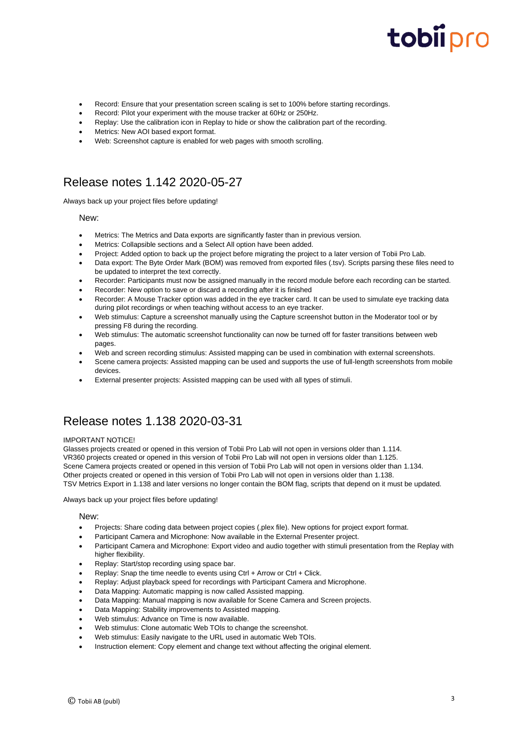- Record: Ensure that your presentation screen scaling is set to 100% before starting recordings.
- Record: Pilot your experiment with the mouse tracker at 60Hz or 250Hz.
- Replay: Use the calibration icon in Replay to hide or show the calibration part of the recording.
- Metrics: New AOI based export format.
- Web: Screenshot capture is enabled for web pages with smooth scrolling.

## Release notes 1.142 2020-05-27

Always back up your project files before updating!

#### New:

- Metrics: The Metrics and Data exports are significantly faster than in previous version.
- Metrics: Collapsible sections and a Select All option have been added.
- Project: Added option to back up the project before migrating the project to a later version of Tobii Pro Lab.
- Data export: The Byte Order Mark (BOM) was removed from exported files (.tsv). Scripts parsing these files need to be updated to interpret the text correctly.
- Recorder: Participants must now be assigned manually in the record module before each recording can be started.
- Recorder: New option to save or discard a recording after it is finished
- Recorder: A Mouse Tracker option was added in the eye tracker card. It can be used to simulate eye tracking data during pilot recordings or when teaching without access to an eye tracker.
- Web stimulus: Capture a screenshot manually using the Capture screenshot button in the Moderator tool or by pressing F8 during the recording.
- Web stimulus: The automatic screenshot functionality can now be turned off for faster transitions between web pages.
- Web and screen recording stimulus: Assisted mapping can be used in combination with external screenshots.
- Scene camera projects: Assisted mapping can be used and supports the use of full-length screenshots from mobile devices.
- External presenter projects: Assisted mapping can be used with all types of stimuli.

## Release notes 1.138 2020-03-31

#### IMPORTANT NOTICE!

Glasses projects created or opened in this version of Tobii Pro Lab will not open in versions older than 1.114. VR360 projects created or opened in this version of Tobii Pro Lab will not open in versions older than 1.125. Scene Camera projects created or opened in this version of Tobii Pro Lab will not open in versions older than 1.134. Other projects created or opened in this version of Tobii Pro Lab will not open in versions older than 1.138. TSV Metrics Export in 1.138 and later versions no longer contain the BOM flag, scripts that depend on it must be updated.

Always back up your project files before updating!

#### New:

- Projects: Share coding data between project copies (.plex file). New options for project export format.
- Participant Camera and Microphone: Now available in the External Presenter project.
- Participant Camera and Microphone: Export video and audio together with stimuli presentation from the Replay with higher flexibility.
- Replay: Start/stop recording using space bar.
- Replay: Snap the time needle to events using Ctrl + Arrow or Ctrl + Click.
- Replay: Adjust playback speed for recordings with Participant Camera and Microphone.
- Data Mapping: Automatic mapping is now called Assisted mapping.
- Data Mapping: Manual mapping is now available for Scene Camera and Screen projects.
- Data Mapping: Stability improvements to Assisted mapping.
- Web stimulus: Advance on Time is now available.
- Web stimulus: Clone automatic Web TOIs to change the screenshot.
- Web stimulus: Easily navigate to the URL used in automatic Web TOIs.
- Instruction element: Copy element and change text without affecting the original element.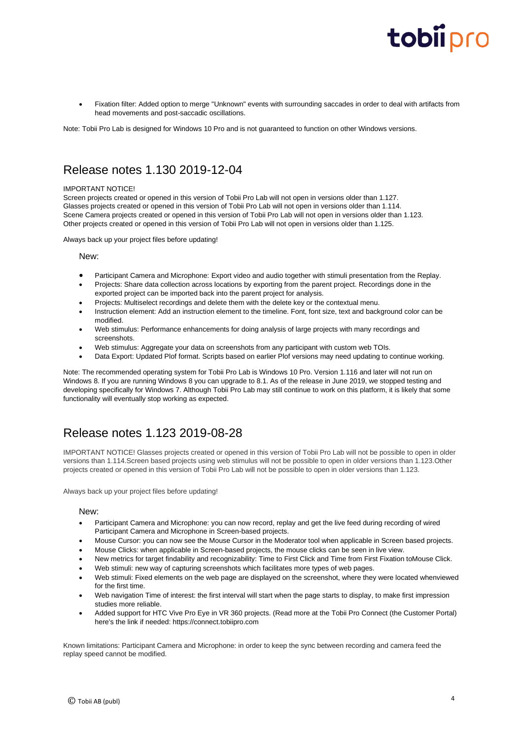• Fixation filter: Added option to merge "Unknown" events with surrounding saccades in order to deal with artifacts from head movements and post-saccadic oscillations.

Note: Tobii Pro Lab is designed for Windows 10 Pro and is not guaranteed to function on other Windows versions.

# Release notes 1.130 2019-12-04

#### IMPORTANT NOTICE!

Screen projects created or opened in this version of Tobii Pro Lab will not open in versions older than 1.127. Glasses projects created or opened in this version of Tobii Pro Lab will not open in versions older than 1.114. Scene Camera projects created or opened in this version of Tobii Pro Lab will not open in versions older than 1.123. Other projects created or opened in this version of Tobii Pro Lab will not open in versions older than 1.125.

Always back up your project files before updating!

New:

- Participant Camera and Microphone: Export video and audio together with stimuli presentation from the Replay.
- Projects: Share data collection across locations by exporting from the parent project. Recordings done in the exported project can be imported back into the parent project for analysis.
- Projects: Multiselect recordings and delete them with the delete key or the contextual menu.
- Instruction element: Add an instruction element to the timeline. Font, font size, text and background color can be modified.
- Web stimulus: Performance enhancements for doing analysis of large projects with many recordings and screenshots.
- Web stimulus: Aggregate your data on screenshots from any participant with custom web TOIs.
- Data Export: Updated Plof format. Scripts based on earlier Plof versions may need updating to continue working.

Note: The recommended operating system for Tobii Pro Lab is Windows 10 Pro. Version 1.116 and later will not run on Windows 8. If you are running Windows 8 you can upgrade to 8.1. As of the release in June 2019, we stopped testing and developing specifically for Windows 7. Although Tobii Pro Lab may still continue to work on this platform, it is likely that some functionality will eventually stop working as expected.

# Release notes 1.123 2019-08-28

IMPORTANT NOTICE! Glasses projects created or opened in this version of Tobii Pro Lab will not be possible to open in older versions than 1.114.Screen based projects using web stimulus will not be possible to open in older versions than 1.123.Other projects created or opened in this version of Tobii Pro Lab will not be possible to open in older versions than 1.123.

Always back up your project files before updating!

#### New:

- Participant Camera and Microphone: you can now record, replay and get the live feed during recording of wired Participant Camera and Microphone in Screen-based projects.
- Mouse Cursor: you can now see the Mouse Cursor in the Moderator tool when applicable in Screen based projects.
- Mouse Clicks: when applicable in Screen-based projects, the mouse clicks can be seen in live view.
- New metrics for target findability and recognizability: Time to First Click and Time from First Fixation toMouse Click.
- Web stimuli: new way of capturing screenshots which facilitates more types of web pages.
- Web stimuli: Fixed elements on the web page are displayed on the screenshot, where they were located whenviewed for the first time.
- Web navigation Time of interest: the first interval will start when the page starts to display, to make first impression studies more reliable.
- Added support for HTC Vive Pro Eye in VR 360 projects. (Read more at the Tobii Pro Connect (the Customer Portal) here's the link if needed: https://connect.tobiipro.com

Known limitations: Participant Camera and Microphone: in order to keep the sync between recording and camera feed the replay speed cannot be modified.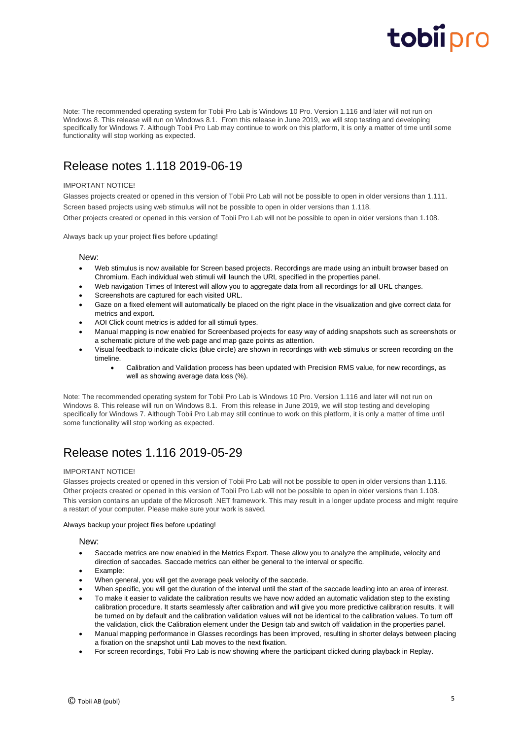Note: The recommended operating system for Tobii Pro Lab is Windows 10 Pro. Version 1.116 and later will not run on Windows 8. This release will run on Windows 8.1. From this release in June 2019, we will stop testing and developing specifically for Windows 7. Although Tobii Pro Lab may continue to work on this platform, it is only a matter of time until some functionality will stop working as expected.

# Release notes 1.118 2019-06-19

#### IMPORTANT NOTICE!

Glasses projects created or opened in this version of Tobii Pro Lab will not be possible to open in older versions than 1.111. Screen based projects using web stimulus will not be possible to open in older versions than 1.118. Other projects created or opened in this version of Tobii Pro Lab will not be possible to open in older versions than 1.108.

Always back up your project files before updating!

#### New:

- Web stimulus is now available for Screen based projects. Recordings are made using an inbuilt browser based on Chromium. Each individual web stimuli will launch the URL specified in the properties panel.
- Web navigation Times of Interest will allow you to aggregate data from all recordings for all URL changes.
- Screenshots are captured for each visited URL.
- Gaze on a fixed element will automatically be placed on the right place in the visualization and give correct data for metrics and export.
- AOI Click count metrics is added for all stimuli types.
- Manual mapping is now enabled for Screenbased projects for easy way of adding snapshots such as screenshots or a schematic picture of the web page and map gaze points as attention.
- Visual feedback to indicate clicks (blue circle) are shown in recordings with web stimulus or screen recording on the timeline.
	- Calibration and Validation process has been updated with Precision RMS value, for new recordings, as well as showing average data loss (%).

Note: The recommended operating system for Tobii Pro Lab is Windows 10 Pro. Version 1.116 and later will not run on Windows 8. This release will run on Windows 8.1. From this release in June 2019, we will stop testing and developing specifically for Windows 7. Although Tobii Pro Lab may still continue to work on this platform, it is only a matter of time until some functionality will stop working as expected.

# Release notes 1.116 2019-05-29

#### IMPORTANT NOTICE!

Glasses projects created or opened in this version of Tobii Pro Lab will not be possible to open in older versions than 1.116. Other projects created or opened in this version of Tobii Pro Lab will not be possible to open in older versions than 1.108. This version contains an update of the Microsoft .NET framework. This may result in a longer update process and might require a restart of your computer. Please make sure your work is saved.

Always backup your project files before updating!

New:

- Saccade metrics are now enabled in the Metrics Export. These allow you to analyze the amplitude, velocity and direction of saccades. Saccade metrics can either be general to the interval or specific.
- Example:
- When general, you will get the average peak velocity of the saccade.
- When specific, you will get the duration of the interval until the start of the saccade leading into an area of interest.
- To make it easier to validate the calibration results we have now added an automatic validation step to the existing calibration procedure. It starts seamlessly after calibration and will give you more predictive calibration results. It will be turned on by default and the calibration validation values will not be identical to the calibration values. To turn off the validation, click the Calibration element under the Design tab and switch off validation in the properties panel.
- Manual mapping performance in Glasses recordings has been improved, resulting in shorter delays between placing a fixation on the snapshot until Lab moves to the next fixation.
- For screen recordings, Tobii Pro Lab is now showing where the participant clicked during playback in Replay.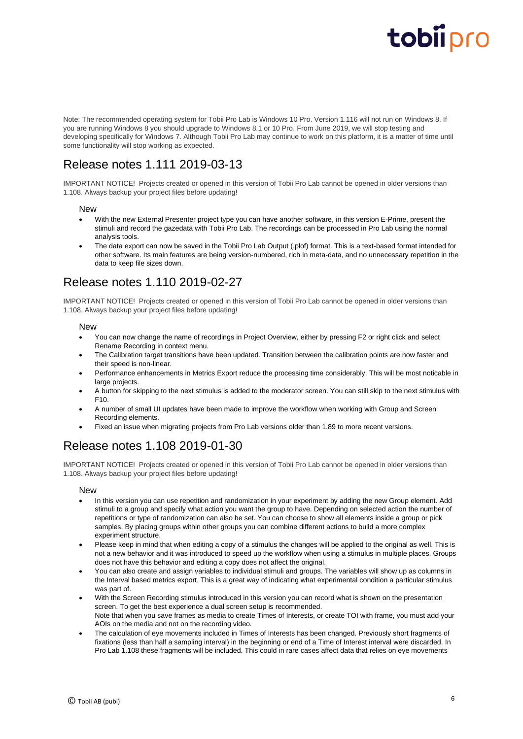Note: The recommended operating system for Tobii Pro Lab is Windows 10 Pro. Version 1.116 will not run on Windows 8. If you are running Windows 8 you should upgrade to Windows 8.1 or 10 Pro. From June 2019, we will stop testing and developing specifically for Windows 7. Although Tobii Pro Lab may continue to work on this platform, it is a matter of time until some functionality will stop working as expected.

# Release notes 1.111 2019-03-13

IMPORTANT NOTICE! Projects created or opened in this version of Tobii Pro Lab cannot be opened in older versions than 1.108. Always backup your project files before updating!

#### **New**

- With the new External Presenter project type you can have another software, in this version E-Prime, present the stimuli and record the gazedata with Tobii Pro Lab. The recordings can be processed in Pro Lab using the normal analysis tools.
- The data export can now be saved in the Tobii Pro Lab Output (.plof) format. This is a text-based format intended for other software. Its main features are being version-numbered, rich in meta-data, and no unnecessary repetition in the data to keep file sizes down.

## Release notes 1.110 2019-02-27

IMPORTANT NOTICE! Projects created or opened in this version of Tobii Pro Lab cannot be opened in older versions than 1.108. Always backup your project files before updating!

#### New

- You can now change the name of recordings in Project Overview, either by pressing F2 or right click and select Rename Recording in context menu.
- The Calibration target transitions have been updated. Transition between the calibration points are now faster and their speed is non-linear.
- Performance enhancements in Metrics Export reduce the processing time considerably. This will be most noticable in large projects.
- A button for skipping to the next stimulus is added to the moderator screen. You can still skip to the next stimulus with F10.
- A number of small UI updates have been made to improve the workflow when working with Group and Screen Recording elements.
- Fixed an issue when migrating projects from Pro Lab versions older than 1.89 to more recent versions.

# Release notes 1.108 2019-01-30

IMPORTANT NOTICE! Projects created or opened in this version of Tobii Pro Lab cannot be opened in older versions than 1.108. Always backup your project files before updating!

#### New

- In this version you can use repetition and randomization in your experiment by adding the new Group element. Add stimuli to a group and specify what action you want the group to have. Depending on selected action the number of repetitions or type of randomization can also be set. You can choose to show all elements inside a group or pick samples. By placing groups within other groups you can combine different actions to build a more complex experiment structure.
- Please keep in mind that when editing a copy of a stimulus the changes will be applied to the original as well. This is not a new behavior and it was introduced to speed up the workflow when using a stimulus in multiple places. Groups does not have this behavior and editing a copy does not affect the original.
- You can also create and assign variables to individual stimuli and groups. The variables will show up as columns in the Interval based metrics export. This is a great way of indicating what experimental condition a particular stimulus was part of.
- With the Screen Recording stimulus introduced in this version you can record what is shown on the presentation screen. To get the best experience a dual screen setup is recommended. Note that when you save frames as media to create Times of Interests, or create TOI with frame, you must add your AOIs on the media and not on the recording video.
- The calculation of eye movements included in Times of Interests has been changed. Previously short fragments of fixations (less than half a sampling interval) in the beginning or end of a Time of Interest interval were discarded. In Pro Lab 1.108 these fragments will be included. This could in rare cases affect data that relies on eve movements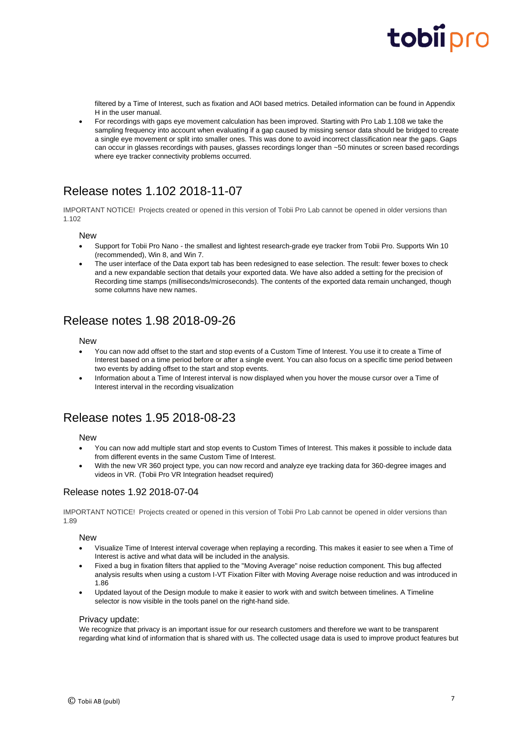filtered by a Time of Interest, such as fixation and AOI based metrics. Detailed information can be found in Appendix H in the user manual.

• For recordings with gaps eye movement calculation has been improved. Starting with Pro Lab 1.108 we take the sampling frequency into account when evaluating if a gap caused by missing sensor data should be bridged to create a single eye movement or split into smaller ones. This was done to avoid incorrect classification near the gaps. Gaps can occur in glasses recordings with pauses, glasses recordings longer than ~50 minutes or screen based recordings where eye tracker connectivity problems occurred.

# Release notes 1.102 2018-11-07

IMPORTANT NOTICE! Projects created or opened in this version of Tobii Pro Lab cannot be opened in older versions than 1.102

#### New

- Support for Tobii Pro Nano the smallest and lightest research-grade eye tracker from Tobii Pro. Supports Win 10 (recommended), Win 8, and Win 7.
- The user interface of the Data export tab has been redesigned to ease selection. The result: fewer boxes to check and a new expandable section that details your exported data. We have also added a setting for the precision of Recording time stamps (milliseconds/microseconds). The contents of the exported data remain unchanged, though some columns have new names.

## Release notes 1.98 2018-09-26

#### New

- You can now add offset to the start and stop events of a Custom Time of Interest. You use it to create a Time of Interest based on a time period before or after a single event. You can also focus on a specific time period between two events by adding offset to the start and stop events.
- Information about a Time of Interest interval is now displayed when you hover the mouse cursor over a Time of Interest interval in the recording visualization

## Release notes 1.95 2018-08-23

#### **New**

- You can now add multiple start and stop events to Custom Times of Interest. This makes it possible to include data from different events in the same Custom Time of Interest.
- With the new VR 360 project type, you can now record and analyze eye tracking data for 360-degree images and videos in VR. (Tobii Pro VR Integration headset required)

#### Release notes 1.92 2018-07-04

IMPORTANT NOTICE! Projects created or opened in this version of Tobii Pro Lab cannot be opened in older versions than 1.89

#### **New**

- Visualize Time of Interest interval coverage when replaying a recording. This makes it easier to see when a Time of Interest is active and what data will be included in the analysis.
- Fixed a bug in fixation filters that applied to the "Moving Average" noise reduction component. This bug affected analysis results when using a custom I-VT Fixation Filter with Moving Average noise reduction and was introduced in 1.86
- Updated layout of the Design module to make it easier to work with and switch between timelines. A Timeline selector is now visible in the tools panel on the right-hand side.

#### Privacy update:

We recognize that privacy is an important issue for our research customers and therefore we want to be transparent regarding what kind of information that is shared with us. The collected usage data is used to improve product features but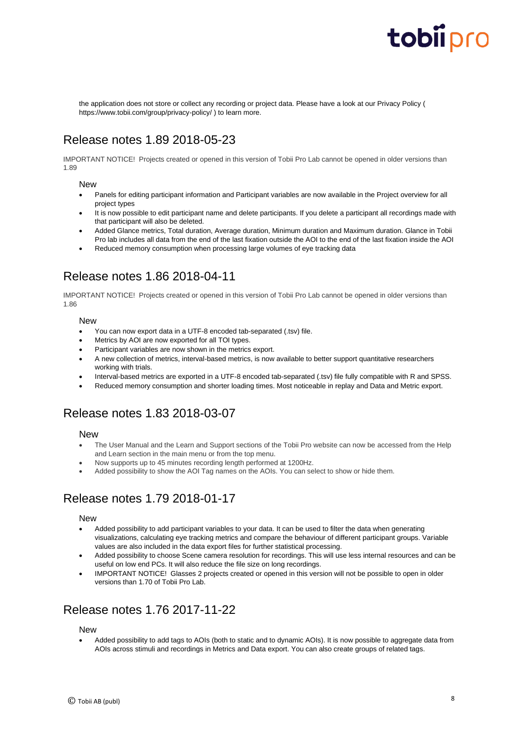the application does not store or collect any recording or project data. Please have a look at our Privacy Policy ( https://www.tobii.com/group/privacy-policy/ ) to learn more.

# Release notes 1.89 2018-05-23

IMPORTANT NOTICE! Projects created or opened in this version of Tobii Pro Lab cannot be opened in older versions than 1.89

#### New

- Panels for editing participant information and Participant variables are now available in the Project overview for all project types
- It is now possible to edit participant name and delete participants. If you delete a participant all recordings made with that participant will also be deleted.
- Added Glance metrics, Total duration, Average duration, Minimum duration and Maximum duration. Glance in Tobii Pro lab includes all data from the end of the last fixation outside the AOI to the end of the last fixation inside the AOI
- Reduced memory consumption when processing large volumes of eye tracking data

# Release notes 1.86 2018-04-11

IMPORTANT NOTICE! Projects created or opened in this version of Tobii Pro Lab cannot be opened in older versions than 1.86

#### New

- You can now export data in a UTF-8 encoded tab-separated (.tsv) file.
- Metrics by AOI are now exported for all TOI types.
- Participant variables are now shown in the metrics export.
- A new collection of metrics, interval-based metrics, is now available to better support quantitative researchers working with trials.
- Interval-based metrics are exported in a UTF-8 encoded tab-separated (.tsv) file fully compatible with R and SPSS.
- Reduced memory consumption and shorter loading times. Most noticeable in replay and Data and Metric export.

### Release notes 1.83 2018-03-07

#### **New**

- The User Manual and the Learn and Support sections of the Tobii Pro website can now be accessed from the Help and Learn section in the main menu or from the top menu.
- Now supports up to 45 minutes recording length performed at 1200Hz.
- Added possibility to show the AOI Tag names on the AOIs. You can select to show or hide them.

## Release notes 1.79 2018-01-17

#### New

- Added possibility to add participant variables to your data. It can be used to filter the data when generating visualizations, calculating eye tracking metrics and compare the behaviour of different participant groups. Variable values are also included in the data export files for further statistical processing.
- Added possibility to choose Scene camera resolution for recordings. This will use less internal resources and can be useful on low end PCs. It will also reduce the file size on long recordings.
- IMPORTANT NOTICE! Glasses 2 projects created or opened in this version will not be possible to open in older versions than 1.70 of Tobii Pro Lab.

### Release notes 1.76 2017-11-22

#### **New**

• Added possibility to add tags to AOIs (both to static and to dynamic AOIs). It is now possible to aggregate data from AOIs across stimuli and recordings in Metrics and Data export. You can also create groups of related tags.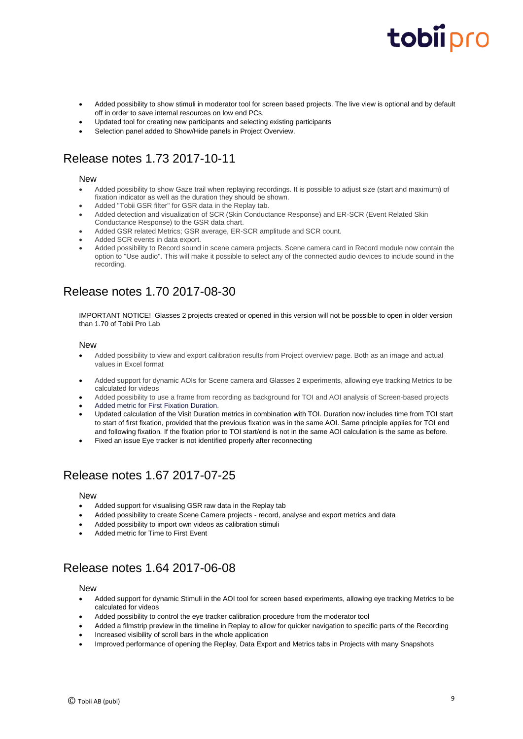- Added possibility to show stimuli in moderator tool for screen based projects. The live view is optional and by default off in order to save internal resources on low end PCs.
- Updated tool for creating new participants and selecting existing participants
- Selection panel added to Show/Hide panels in Project Overview.

# Release notes 1.73 2017-10-11

#### **New**

- Added possibility to show Gaze trail when replaying recordings. It is possible to adjust size (start and maximum) of fixation indicator as well as the duration they should be shown.
- Added "Tobii GSR filter" for GSR data in the Replay tab.
- Added detection and visualization of SCR (Skin Conductance Response) and ER-SCR (Event Related Skin Conductance Response) to the GSR data chart.
- Added GSR related Metrics; GSR average, ER-SCR amplitude and SCR count.
- Added SCR events in data export.
- Added possibility to Record sound in scene camera projects. Scene camera card in Record module now contain the option to "Use audio". This will make it possible to select any of the connected audio devices to include sound in the recording.

## Release notes 1.70 2017-08-30

IMPORTANT NOTICE! Glasses 2 projects created or opened in this version will not be possible to open in older version than 1.70 of Tobii Pro Lab

#### New

- Added possibility to view and export calibration results from Project overview page. Both as an image and actual values in Excel format
- Added support for dynamic AOIs for Scene camera and Glasses 2 experiments, allowing eye tracking Metrics to be calculated for videos
- Added possibility to use a frame from recording as background for TOI and AOI analysis of Screen-based projects
- Added metric for First Fixation Duration.
- Updated calculation of the Visit Duration metrics in combination with TOI. Duration now includes time from TOI start to start of first fixation, provided that the previous fixation was in the same AOI. Same principle applies for TOI end and following fixation. If the fixation prior to TOI start/end is not in the same AOI calculation is the same as before.
- Fixed an issue Eye tracker is not identified properly after reconnecting

## Release notes 1.67 2017-07-25

#### New

- Added support for visualising GSR raw data in the Replay tab
- Added possibility to create Scene Camera projects record, analyse and export metrics and data
- Added possibility to import own videos as calibration stimuli
- Added metric for Time to First Event

# Release notes 1.64 2017-06-08

#### New

- Added support for dynamic Stimuli in the AOI tool for screen based experiments, allowing eye tracking Metrics to be calculated for videos
- Added possibility to control the eye tracker calibration procedure from the moderator tool
- Added a filmstrip preview in the timeline in Replay to allow for quicker navigation to specific parts of the Recording
- Increased visibility of scroll bars in the whole application
- Improved performance of opening the Replay, Data Export and Metrics tabs in Projects with many Snapshots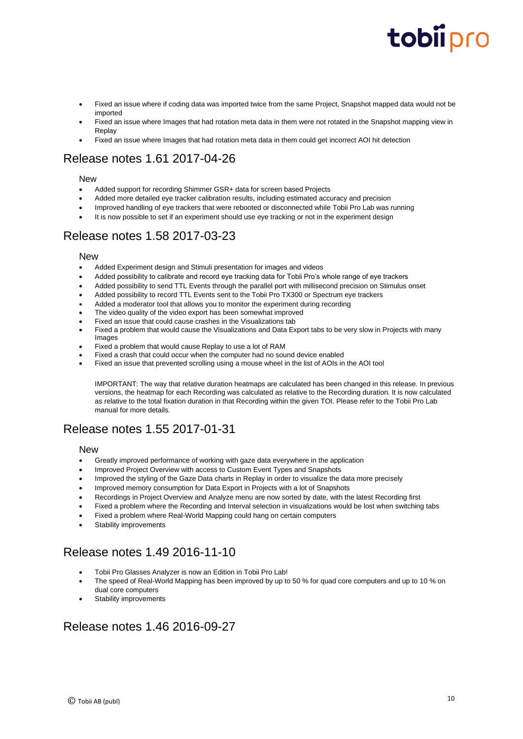- Fixed an issue where if coding data was imported twice from the same Project. Snapshot mapped data would not be imported
- Fixed an issue where Images that had rotation meta data in them were not rotated in the Snapshot mapping view in Replay
- Fixed an issue where Images that had rotation meta data in them could get incorrect AOI hit detection

# Release notes 1.61 2017-04-26

#### **New**

- Added support for recording Shimmer GSR+ data for screen based Projects
- Added more detailed eye tracker calibration results, including estimated accuracy and precision
- Improved handling of eye trackers that were rebooted or disconnected while Tobii Pro Lab was running
- It is now possible to set if an experiment should use eye tracking or not in the experiment design

## Release notes 1.58 2017-03-23

#### **New**

- Added Experiment design and Stimuli presentation for images and videos
- Added possibility to calibrate and record eye tracking data for Tobii Pro's whole range of eye trackers
- Added possibility to send TTL Events through the parallel port with millisecond precision on Stimulus onset
- Added possibility to record TTL Events sent to the Tobii Pro TX300 or Spectrum eye trackers
- Added a moderator tool that allows you to monitor the experiment during recording
- The video quality of the video export has been somewhat improved
- Fixed an issue that could cause crashes in the Visualizations tab
- Fixed a problem that would cause the Visualizations and Data Export tabs to be very slow in Projects with many Images
- Fixed a problem that would cause Replay to use a lot of RAM
- Fixed a crash that could occur when the computer had no sound device enabled
- Fixed an issue that prevented scrolling using a mouse wheel in the list of AOIs in the AOI tool

IMPORTANT: The way that relative duration heatmaps are calculated has been changed in this release. In previous versions, the heatmap for each Recording was calculated as relative to the Recording duration. It is now calculated as relative to the total fixation duration in that Recording within the given TOI. Please refer to the Tobii Pro Lab manual for more details.

# Release notes 1.55 2017-01-31

#### New

- Greatly improved performance of working with gaze data everywhere in the application
- Improved Project Overview with access to Custom Event Types and Snapshots
- Improved the styling of the Gaze Data charts in Replay in order to visualize the data more precisely
- Improved memory consumption for Data Export in Projects with a lot of Snapshots
- Recordings in Project Overview and Analyze menu are now sorted by date, with the latest Recording first
- Fixed a problem where the Recording and Interval selection in visualizations would be lost when switching tabs
- Fixed a problem where Real-World Mapping could hang on certain computers
- Stability improvements

# Release notes 1.49 2016-11-10

- Tobii Pro Glasses Analyzer is now an Edition in Tobii Pro Lab!
- The speed of Real-World Mapping has been improved by up to 50 % for quad core computers and up to 10 % on dual core computers
- Stability improvements

## Release notes 1.46 2016-09-27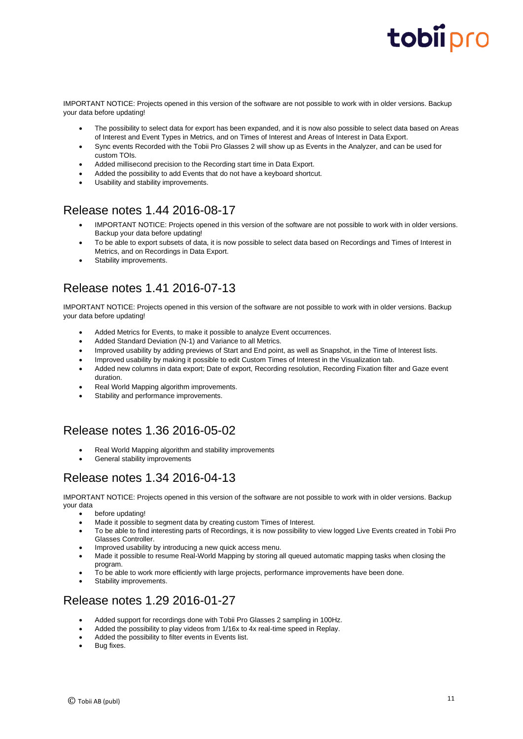IMPORTANT NOTICE: Projects opened in this version of the software are not possible to work with in older versions. Backup your data before updating!

- The possibility to select data for export has been expanded, and it is now also possible to select data based on Areas of Interest and Event Types in Metrics, and on Times of Interest and Areas of Interest in Data Export.
- Sync events Recorded with the Tobii Pro Glasses 2 will show up as Events in the Analyzer, and can be used for custom TOIs.
- Added millisecond precision to the Recording start time in Data Export.
- Added the possibility to add Events that do not have a keyboard shortcut.
- Usability and stability improvements.

## Release notes 1.44 2016-08-17

- IMPORTANT NOTICE: Projects opened in this version of the software are not possible to work with in older versions. Backup your data before updating!
- To be able to export subsets of data, it is now possible to select data based on Recordings and Times of Interest in Metrics, and on Recordings in Data Export.
- Stability improvements.

# Release notes 1.41 2016-07-13

IMPORTANT NOTICE: Projects opened in this version of the software are not possible to work with in older versions. Backup your data before updating!

- Added Metrics for Events, to make it possible to analyze Event occurrences.
- Added Standard Deviation (N-1) and Variance to all Metrics.
- Improved usability by adding previews of Start and End point, as well as Snapshot, in the Time of Interest lists.
- Improved usability by making it possible to edit Custom Times of Interest in the Visualization tab.
- Added new columns in data export; Date of export, Recording resolution, Recording Fixation filter and Gaze event duration.
- Real World Mapping algorithm improvements.
- Stability and performance improvements.

# Release notes 1.36 2016-05-02

- Real World Mapping algorithm and stability improvements
- General stability improvements

## Release notes 1.34 2016-04-13

IMPORTANT NOTICE: Projects opened in this version of the software are not possible to work with in older versions. Backup your data

- before updating!
- Made it possible to segment data by creating custom Times of Interest.
- To be able to find interesting parts of Recordings, it is now possibility to view logged Live Events created in Tobii Pro Glasses Controller.
- Improved usability by introducing a new quick access menu.
- Made it possible to resume Real-World Mapping by storing all queued automatic mapping tasks when closing the program.
- To be able to work more efficiently with large projects, performance improvements have been done.
- Stability improvements.

### Release notes 1.29 2016-01-27

- Added support for recordings done with Tobii Pro Glasses 2 sampling in 100Hz.
- Added the possibility to play videos from 1/16x to 4x real-time speed in Replay.
- Added the possibility to filter events in Events list.
- Bug fixes.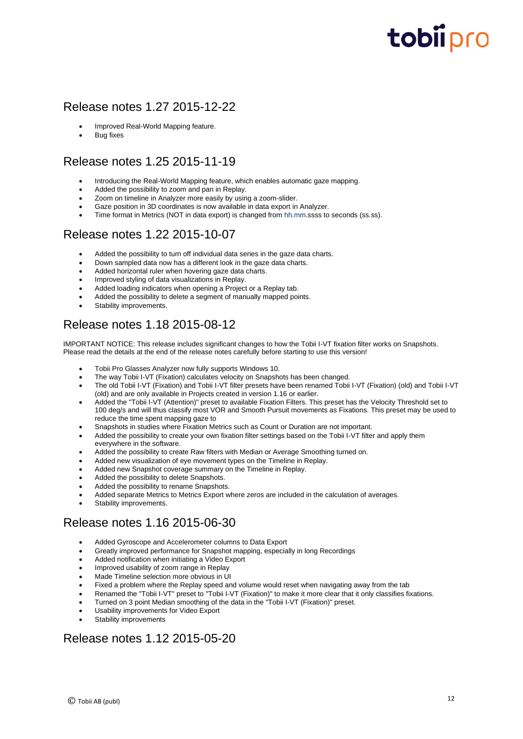## Release notes 1.27 2015-12-22

- Improved Real-World Mapping feature.
- **Bug fixes**

## Release notes 1.25 2015-11-19

- Introducing the Real-World Mapping feature, which enables automatic gaze mapping.
- Added the possibility to zoom and pan in Replay.
- Zoom on timeline in Analyzer more easily by using a zoom-slider.
- Gaze position in 3D coordinates is now available in data export in Analyzer.
- Time format in Metrics (NOT in data export) is changed from hh.mm.ssss to seconds (ss.ss).

### Release notes 1.22 2015-10-07

- Added the possibility to turn off individual data series in the gaze data charts.
- Down sampled data now has a different look in the gaze data charts.
- Added horizontal ruler when hovering gaze data charts.
- Improved styling of data visualizations in Replay.
- Added loading indicators when opening a Project or a Replay tab.
- Added the possibility to delete a segment of manually mapped points.
- Stability improvements.

## Release notes 1.18 2015-08-12

IMPORTANT NOTICE: This release includes significant changes to how the Tobii I-VT fixation filter works on Snapshots. Please read the details at the end of the release notes carefully before starting to use this version!

- Tobii Pro Glasses Analyzer now fully supports Windows 10.
- The way Tobii I-VT (Fixation) calculates velocity on Snapshots has been changed.
- The old Tobii I-VT (Fixation) and Tobii I-VT filter presets have been renamed Tobii I-VT (Fixation) (old) and Tobii I-VT (old) and are only available in Projects created in version 1.16 or earlier.
- Added the "Tobii I-VT (Attention)" preset to available Fixation Filters. This preset has the Velocity Threshold set to 100 deg/s and will thus classify most VOR and Smooth Pursuit movements as Fixations. This preset may be used to reduce the time spent mapping gaze to
- Snapshots in studies where Fixation Metrics such as Count or Duration are not important.
- Added the possibility to create your own fixation filter settings based on the Tobii I-VT filter and apply them everywhere in the software.
- Added the possibility to create Raw filters with Median or Average Smoothing turned on.
- Added new visualization of eye movement types on the Timeline in Replay.
- Added new Snapshot coverage summary on the Timeline in Replay.
- Added the possibility to delete Snapshots.
- Added the possibility to rename Snapshots.
- Added separate Metrics to Metrics Export where zeros are included in the calculation of averages.
- Stability improvements.

### Release notes 1.16 2015-06-30

- Added Gyroscope and Accelerometer columns to Data Export
- Greatly improved performance for Snapshot mapping, especially in long Recordings
- Added notification when initiating a Video Export
- Improved usability of zoom range in Replay
- Made Timeline selection more obvious in UI
- Fixed a problem where the Replay speed and volume would reset when navigating away from the tab
- Renamed the "Tobii I-VT" preset to "Tobii I-VT (Fixation)" to make it more clear that it only classifies fixations.
- Turned on 3 point Median smoothing of the data in the "Tobii I-VT (Fixation)" preset.
- Usability improvements for Video Export
- Stability improvements

### Release notes 1.12 2015-05-20